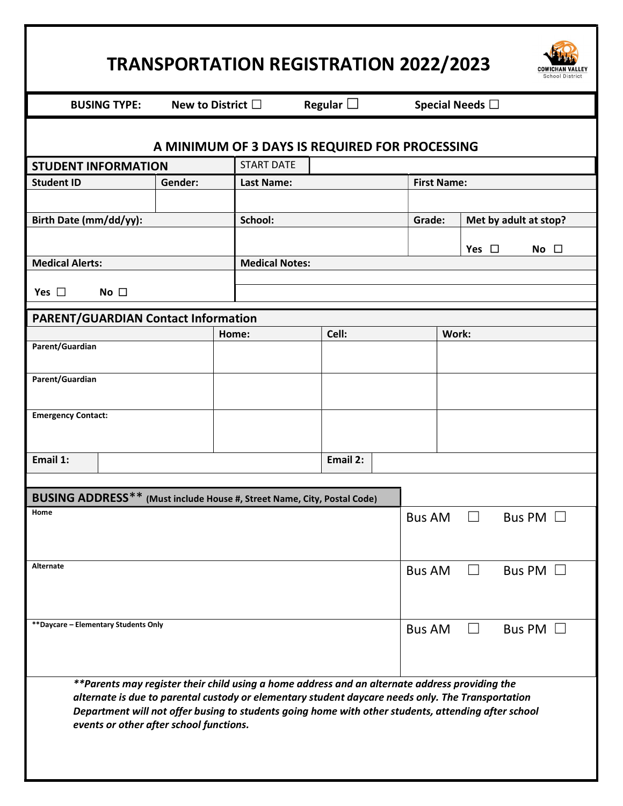| <b>TRANSPORTATION REGISTRATION 2022/2023</b><br>School District                                                                                                                                                                                                                                                                                       |         |                           |                   |          |                    |                         |                       |            |               |               |  |
|-------------------------------------------------------------------------------------------------------------------------------------------------------------------------------------------------------------------------------------------------------------------------------------------------------------------------------------------------------|---------|---------------------------|-------------------|----------|--------------------|-------------------------|-----------------------|------------|---------------|---------------|--|
| <b>BUSING TYPE:</b>                                                                                                                                                                                                                                                                                                                                   |         | New to District $\square$ | Regular $\square$ |          |                    | Special Needs $\square$ |                       |            |               |               |  |
| A MINIMUM OF 3 DAYS IS REQUIRED FOR PROCESSING                                                                                                                                                                                                                                                                                                        |         |                           |                   |          |                    |                         |                       |            |               |               |  |
| <b>STUDENT INFORMATION</b>                                                                                                                                                                                                                                                                                                                            |         | <b>START DATE</b>         |                   |          |                    |                         |                       |            |               |               |  |
| <b>Student ID</b>                                                                                                                                                                                                                                                                                                                                     |         | <b>Last Name:</b>         |                   |          | <b>First Name:</b> |                         |                       |            |               |               |  |
| Birth Date (mm/dd/yy):                                                                                                                                                                                                                                                                                                                                | School: |                           |                   |          | Grade:             |                         | Met by adult at stop? |            |               |               |  |
|                                                                                                                                                                                                                                                                                                                                                       |         |                           |                   |          |                    |                         |                       | Yes $\Box$ |               | No $\square$  |  |
| <b>Medical Alerts:</b>                                                                                                                                                                                                                                                                                                                                |         | <b>Medical Notes:</b>     |                   |          |                    |                         |                       |            |               |               |  |
| Yes $\Box$<br>No <sub>1</sub>                                                                                                                                                                                                                                                                                                                         |         |                           |                   |          |                    |                         |                       |            |               |               |  |
|                                                                                                                                                                                                                                                                                                                                                       |         |                           |                   |          |                    |                         |                       |            |               |               |  |
| <b>PARENT/GUARDIAN Contact Information</b>                                                                                                                                                                                                                                                                                                            |         |                           |                   |          |                    |                         |                       |            |               |               |  |
| Parent/Guardian                                                                                                                                                                                                                                                                                                                                       | Home:   |                           | Cell:             |          |                    | Work:                   |                       |            |               |               |  |
|                                                                                                                                                                                                                                                                                                                                                       |         |                           |                   |          |                    |                         |                       |            |               |               |  |
| Parent/Guardian                                                                                                                                                                                                                                                                                                                                       |         |                           |                   |          |                    |                         |                       |            |               |               |  |
| <b>Emergency Contact:</b>                                                                                                                                                                                                                                                                                                                             |         |                           |                   |          |                    |                         |                       |            |               |               |  |
|                                                                                                                                                                                                                                                                                                                                                       |         |                           |                   |          |                    |                         |                       |            |               |               |  |
| Email 1:                                                                                                                                                                                                                                                                                                                                              |         |                           |                   | Email 2: |                    |                         |                       |            |               |               |  |
|                                                                                                                                                                                                                                                                                                                                                       |         |                           |                   |          |                    |                         |                       |            |               |               |  |
| BUSING ADDRESS** (Must include House #, Street Name, City, Postal Code)                                                                                                                                                                                                                                                                               |         |                           |                   |          |                    |                         |                       |            |               |               |  |
| Home                                                                                                                                                                                                                                                                                                                                                  |         |                           |                   |          |                    | <b>Bus AM</b>           |                       |            |               | Bus PM $\Box$ |  |
|                                                                                                                                                                                                                                                                                                                                                       |         |                           |                   |          |                    |                         |                       |            |               |               |  |
| Alternate                                                                                                                                                                                                                                                                                                                                             |         |                           |                   |          |                    | <b>Bus AM</b>           |                       |            |               | Bus PM $\Box$ |  |
| ** Daycare - Elementary Students Only                                                                                                                                                                                                                                                                                                                 |         |                           |                   |          |                    | <b>Bus AM</b>           |                       |            | Bus PM $\Box$ |               |  |
| **Parents may register their child using a home address and an alternate address providing the<br>alternate is due to parental custody or elementary student daycare needs only. The Transportation<br>Department will not offer busing to students going home with other students, attending after school<br>events or other after school functions. |         |                           |                   |          |                    |                         |                       |            |               |               |  |